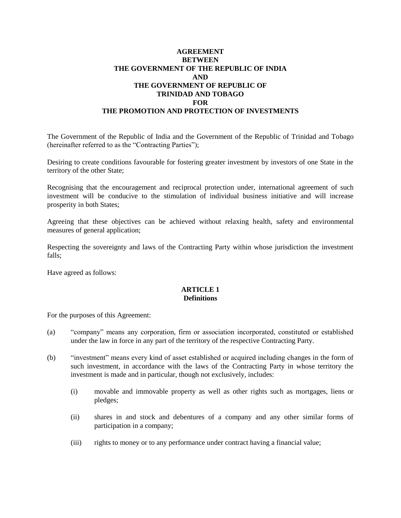## **AGREEMENT BETWEEN THE GOVERNMENT OF THE REPUBLIC OF INDIA AND THE GOVERNMENT OF REPUBLIC OF TRINIDAD AND TOBAGO FOR THE PROMOTION AND PROTECTION OF INVESTMENTS**

The Government of the Republic of India and the Government of the Republic of Trinidad and Tobago (hereinafter referred to as the "Contracting Parties");

Desiring to create conditions favourable for fostering greater investment by investors of one State in the territory of the other State;

Recognising that the encouragement and reciprocal protection under, international agreement of such investment will be conducive to the stimulation of individual business initiative and will increase prosperity in both States;

Agreeing that these objectives can be achieved without relaxing health, safety and environmental measures of general application;

Respecting the sovereignty and laws of the Contracting Party within whose jurisdiction the investment falls;

Have agreed as follows:

## **ARTICLE 1 Definitions**

For the purposes of this Agreement:

- (a) "company" means any corporation, firm or association incorporated, constituted or established under the law in force in any part of the territory of the respective Contracting Party.
- (b) "investment" means every kind of asset established or acquired including changes in the form of such investment, in accordance with the laws of the Contracting Party in whose territory the investment is made and in particular, though not exclusively, includes:
	- (i) movable and immovable property as well as other rights such as mortgages, liens or pledges;
	- (ii) shares in and stock and debentures of a company and any other similar forms of participation in a company;
	- (iii) rights to money or to any performance under contract having a financial value;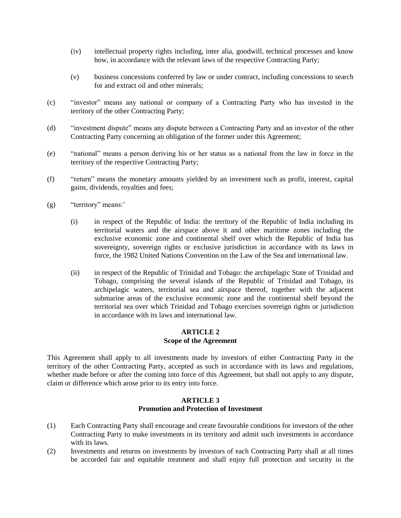- (iv) intellectual property rights including, inter alia, goodwill, technical processes and know how, in accordance with the relevant laws of the respective Contracting Party;
- (v) business concessions conferred by law or under contract, including concessions to search for and extract oil and other minerals;
- (c) "investor" means any national or company of a Contracting Party who has invested in the territory of the other Contracting Party;
- (d) "investment dispute" means any dispute between a Contracting Party and an investor of the other Contracting Party concerning an obligation of the former under this Agreement;
- (e) "national" means a person deriving his or her status as a national from the law in force in the territory of the respective Contracting Party;
- (f) "return" means the monetary amounts yielded by an investment such as profit, interest, capital gains, dividends, royalties and fees;
- (g) "territory" means:'
	- (i) in respect of the Republic of India: the territory of the Republic of India including its territorial waters and the airspace above it and other maritime zones including the exclusive economic zone and continental shelf over which the Republic of India has sovereignty, sovereign rights or exclusive jurisdiction in accordance with its laws in force, the 1982 United Nations Convention on the Law of the Sea and international law.
	- (ii) in respect of the Republic of Trinidad and Tobago: the archipelagic State of Trinidad and Tobago, comprising the several islands of the Republic of Trinidad and Tobago, its archipelagic waters, territorial sea and airspace thereof, together with the adjacent submarine areas of the exclusive economic zone and the continental shelf beyond the territorial sea over which Trinidad and Tobago exercises sovereign rights or jurisdiction in accordance with its laws and international law.

### **ARTICLE 2 Scope of the Agreement**

This Agreement shall apply to all investments made by investors of either Contracting Party in the territory of the other Contracting Party, accepted as such in accordance with its laws and regulations, whether made before or after the coming into force of this Agreement, but shall not apply to any dispute, claim or difference which arose prior to its entry into force.

### **ARTICLE 3 Promotion and Protection of Investment**

- (1) Each Contracting Party shall encourage and create favourable conditions for investors of the other Contracting Party to make investments in its territory and admit such investments in accordance with its laws.
- (2) Investments and returns on investments by investors of each Contracting Party shall at all times be accorded fair and equitable treatment and shall enjoy full protection and security in the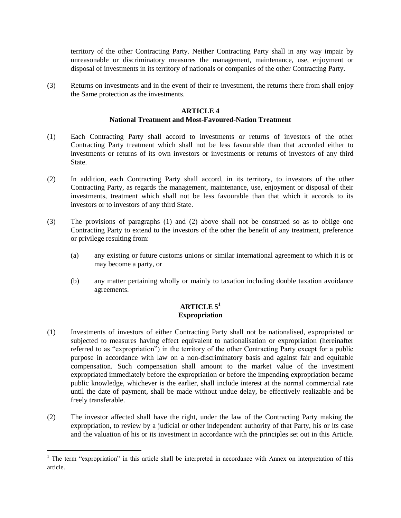territory of the other Contracting Party. Neither Contracting Party shall in any way impair by unreasonable or discriminatory measures the management, maintenance, use, enjoyment or disposal of investments in its territory of nationals or companies of the other Contracting Party.

(3) Returns on investments and in the event of their re-investment, the returns there from shall enjoy the Same protection as the investments.

#### **ARTICLE 4**

### **National Treatment and Most-Favoured-Nation Treatment**

- (1) Each Contracting Party shall accord to investments or returns of investors of the other Contracting Party treatment which shall not be less favourable than that accorded either to investments or returns of its own investors or investments or returns of investors of any third State.
- (2) In addition, each Contracting Party shall accord, in its territory, to investors of the other Contracting Party, as regards the management, maintenance, use, enjoyment or disposal of their investments, treatment which shall not be less favourable than that which it accords to its investors or to investors of any third State.
- (3) The provisions of paragraphs (1) and (2) above shall not be construed so as to oblige one Contracting Party to extend to the investors of the other the benefit of any treatment, preference or privilege resulting from:
	- (a) any existing or future customs unions or similar international agreement to which it is or may become a party, or
	- (b) any matter pertaining wholly or mainly to taxation including double taxation avoidance agreements.

## **ARTICLE 5<sup>1</sup> Expropriation**

- (1) Investments of investors of either Contracting Party shall not be nationalised, expropriated or subjected to measures having effect equivalent to nationalisation or expropriation (hereinafter referred to as "expropriation") in the territory of the other Contracting Party except for a public purpose in accordance with law on a non-discriminatory basis and against fair and equitable compensation. Such compensation shall amount to the market value of the investment expropriated immediately before the expropriation or before the impending expropriation became public knowledge, whichever is the earlier, shall include interest at the normal commercial rate until the date of payment, shall be made without undue delay, be effectively realizable and be freely transferable.
- (2) The investor affected shall have the right, under the law of the Contracting Party making the expropriation, to review by a judicial or other independent authority of that Party, his or its case and the valuation of his or its investment in accordance with the principles set out in this Article.

l

<sup>&</sup>lt;sup>1</sup> The term "expropriation" in this article shall be interpreted in accordance with Annex on interpretation of this article.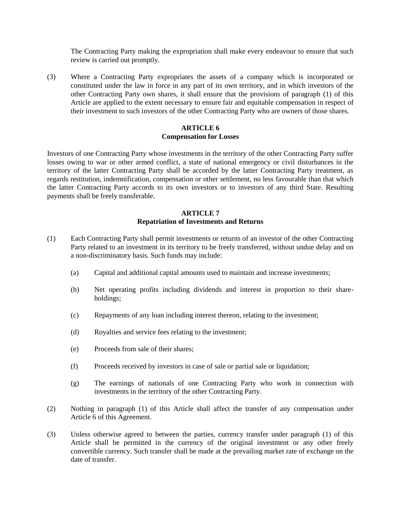The Contracting Party making the expropriation shall make every endeavour to ensure that such review is carried out promptly.

(3) Where a Contracting Party expropriates the assets of a company which is incorporated or constituted under the law in force in any part of its own territory, and in which investors of the other Contracting Party own shares, it shall ensure that the provisions of paragraph (1) of this Article are applied to the extent necessary to ensure fair and equitable compensation in respect of their investment to such investors of the other Contracting Party who are owners of those shares.

### **ARTICLE 6 Compensation for Losses**

Investors of one Contracting Party whose investments in the territory of the other Contracting Party suffer losses owing to war or other armed conflict, a state of national emergency or civil disturbances in the territory of the latter Contracting Party shall be accorded by the latter Contracting Party treatment, as regards restitution, indemnification, compensation or other settlement, no less favourable than that which the latter Contracting Party accords to its own investors or to investors of any third State. Resulting payments shall be freely transferable.

### **ARTICLE 7 Repatriation of Investments and Returns**

- (1) Each Contracting Party shall permit investments or returns of an investor of the other Contracting Party related to an investment in its territory to be freely transferred, without undue delay and on a non-discriminatory basis. Such funds may include:
	- (a) Capital and additional capital amounts used to maintain and increase investments;
	- (b) Net operating profits including dividends and interest in proportion to their shareholdings;
	- (c) Repayments of any loan including interest thereon, relating to the investment;
	- (d) Royalties and service fees relating to the investment;
	- (e) Proceeds from sale of their shares;
	- (f) Proceeds received by investors in case of sale or partial sale or liquidation;
	- (g) The earnings of nationals of one Contracting Party who work in connection with investments in the territory of the other Contracting Party.
- (2) Nothing in paragraph (1) of this Article shall affect the transfer of any compensation under Article 6 of this Agreement.
- (3) Unless otherwise agreed to between the parties, currency transfer under paragraph (1) of this Article shall be permitted in the currency of the original investment or any other freely convertible currency. Such transfer shall be made at the prevailing market rate of exchange on the date of transfer.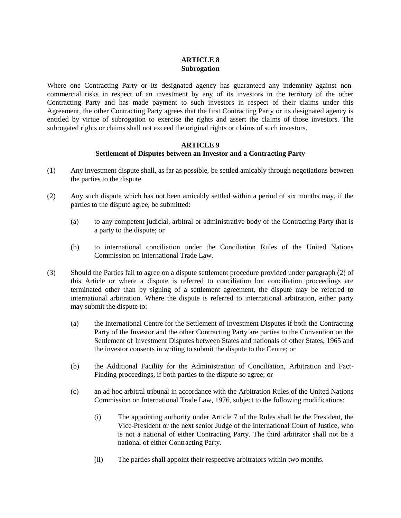# **ARTICLE 8 Subrogation**

Where one Contracting Party or its designated agency has guaranteed any indemnity against noncommercial risks in respect of an investment by any of its investors in the territory of the other Contracting Party and has made payment to such investors in respect of their claims under this Agreement, the other Contracting Party agrees that the first Contracting Party or its designated agency is entitled by virtue of subrogation to exercise the rights and assert the claims of those investors. The subrogated rights or claims shall not exceed the original rights or claims of such investors.

### **ARTICLE 9**

### **Settlement of Disputes between an Investor and a Contracting Party**

- (1) Any investment dispute shall, as far as possible, be settled amicably through negotiations between the parties to the dispute.
- (2) Any such dispute which has not been amicably settled within a period of six months may, if the parties to the dispute agree, be submitted:
	- (a) to any competent judicial, arbitral or administrative body of the Contracting Party that is a party to the dispute; or
	- (b) to international conciliation under the Conciliation Rules of the United Nations Commission on International Trade Law.
- (3) Should the Parties fail to agree on a dispute settlement procedure provided under paragraph (2) of this Article or where a dispute is referred to conciliation but conciliation proceedings are terminated other than by signing of a settlement agreement, the dispute may be referred to international arbitration. Where the dispute is referred to international arbitration, either party may submit the dispute to:
	- (a) the International Centre for the Settlement of Investment Disputes if both the Contracting Party of the Investor and the other Contracting Party are parties to the Convention on the Settlement of Investment Disputes between States and nationals of other States, 1965 and the investor consents in writing to submit the dispute to the Centre; or
	- (b) the Additional Facility for the Administration of Conciliation, Arbitration and Fact-Finding proceedings, if both parties to the dispute so agree; or
	- (c) an ad hoc arbitral tribunal in accordance with the Arbitration Rules of the United Nations Commission on International Trade Law, 1976, subject to the following modifications:
		- (i) The appointing authority under Article 7 of the Rules shall be the President, the Vice-President or the next senior Judge of the International Court of Justice, who is not a national of either Contracting Party. The third arbitrator shall not be a national of either Contracting Party.
		- (ii) The parties shall appoint their respective arbitrators within two months.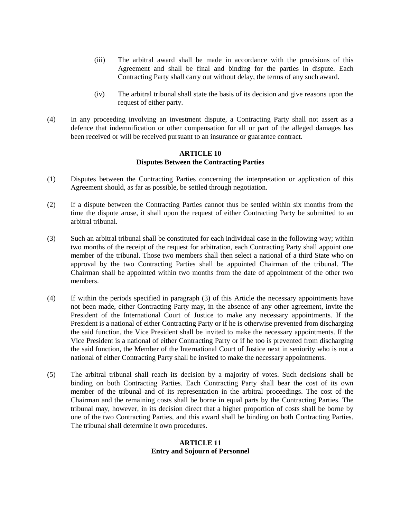- (iii) The arbitral award shall be made in accordance with the provisions of this Agreement and shall be final and binding for the parties in dispute. Each Contracting Party shall carry out without delay, the terms of any such award.
- (iv) The arbitral tribunal shall state the basis of its decision and give reasons upon the request of either party.
- (4) In any proceeding involving an investment dispute, a Contracting Party shall not assert as a defence that indemnification or other compensation for all or part of the alleged damages has been received or will be received pursuant to an insurance or guarantee contract.

### **ARTICLE 10 Disputes Between the Contracting Parties**

- (1) Disputes between the Contracting Parties concerning the interpretation or application of this Agreement should, as far as possible, be settled through negotiation.
- (2) If a dispute between the Contracting Parties cannot thus be settled within six months from the time the dispute arose, it shall upon the request of either Contracting Party be submitted to an arbitral tribunal.
- (3) Such an arbitral tribunal shall be constituted for each individual case in the following way; within two months of the receipt of the request for arbitration, each Contracting Party shall appoint one member of the tribunal. Those two members shall then select a national of a third State who on approval by the two Contracting Parties shall be appointed Chairman of the tribunal. The Chairman shall be appointed within two months from the date of appointment of the other two members.
- (4) If within the periods specified in paragraph (3) of this Article the necessary appointments have not been made, either Contracting Party may, in the absence of any other agreement, invite the President of the International Court of Justice to make any necessary appointments. If the President is a national of either Contracting Party or if he is otherwise prevented from discharging the said function, the Vice President shall be invited to make the necessary appointments. If the Vice President is a national of either Contracting Party or if he too is prevented from discharging the said function, the Member of the International Court of Justice next in seniority who is not a national of either Contracting Party shall be invited to make the necessary appointments.
- (5) The arbitral tribunal shall reach its decision by a majority of votes. Such decisions shall be binding on both Contracting Parties. Each Contracting Party shall bear the cost of its own member of the tribunal and of its representation in the arbitral proceedings. The cost of the Chairman and the remaining costs shall be borne in equal parts by the Contracting Parties. The tribunal may, however, in its decision direct that a higher proportion of costs shall be borne by one of the two Contracting Parties, and this award shall be binding on both Contracting Parties. The tribunal shall determine it own procedures.

## **ARTICLE 11 Entry and Sojourn of Personnel**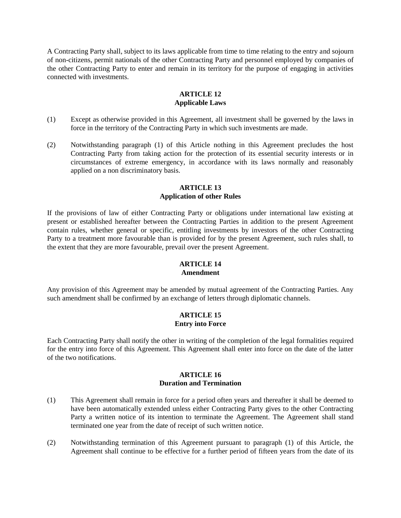A Contracting Party shall, subject to its laws applicable from time to time relating to the entry and sojourn of non-citizens, permit nationals of the other Contracting Party and personnel employed by companies of the other Contracting Party to enter and remain in its territory for the purpose of engaging in activities connected with investments.

## **ARTICLE 12 Applicable Laws**

- (1) Except as otherwise provided in this Agreement, all investment shall be governed by the laws in force in the territory of the Contracting Party in which such investments are made.
- (2) Notwithstanding paragraph (1) of this Article nothing in this Agreement precludes the host Contracting Party from taking action for the protection of its essential security interests or in circumstances of extreme emergency, in accordance with its laws normally and reasonably applied on a non discriminatory basis.

## **ARTICLE 13 Application of other Rules**

If the provisions of law of either Contracting Party or obligations under international law existing at present or established hereafter between the Contracting Parties in addition to the present Agreement contain rules, whether general or specific, entitling investments by investors of the other Contracting Party to a treatment more favourable than is provided for by the present Agreement, such rules shall, to the extent that they are more favourable, prevail over the present Agreement.

#### **ARTICLE 14 Amendment**

Any provision of this Agreement may be amended by mutual agreement of the Contracting Parties. Any such amendment shall be confirmed by an exchange of letters through diplomatic channels.

## **ARTICLE 15 Entry into Force**

Each Contracting Party shall notify the other in writing of the completion of the legal formalities required for the entry into force of this Agreement. This Agreement shall enter into force on the date of the latter of the two notifications.

### **ARTICLE 16 Duration and Termination**

- (1) This Agreement shall remain in force for a period often years and thereafter it shall be deemed to have been automatically extended unless either Contracting Party gives to the other Contracting Party a written notice of its intention to terminate the Agreement. The Agreement shall stand terminated one year from the date of receipt of such written notice.
- (2) Notwithstanding termination of this Agreement pursuant to paragraph (1) of this Article, the Agreement shall continue to be effective for a further period of fifteen years from the date of its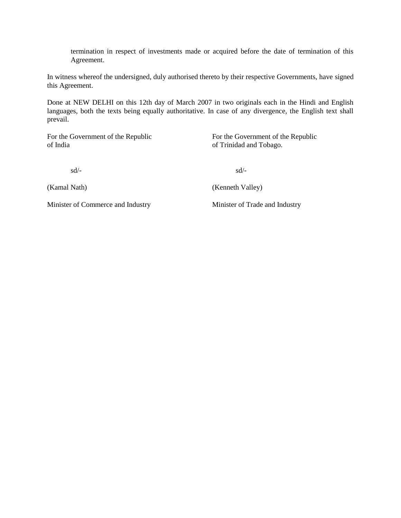termination in respect of investments made or acquired before the date of termination of this Agreement.

In witness whereof the undersigned, duly authorised thereto by their respective Governments, have signed this Agreement.

Done at NEW DELHI on this 12th day of March 2007 in two originals each in the Hindi and English languages, both the texts being equally authoritative. In case of any divergence, the English text shall prevail.

For the Government of the Republic For the Government of the Republic of India of Trinidad and Tobago.

 $sd/$ -

Minister of Commerce and Industry Minister of Trade and Industry

(Kamal Nath) (Kenneth Valley)